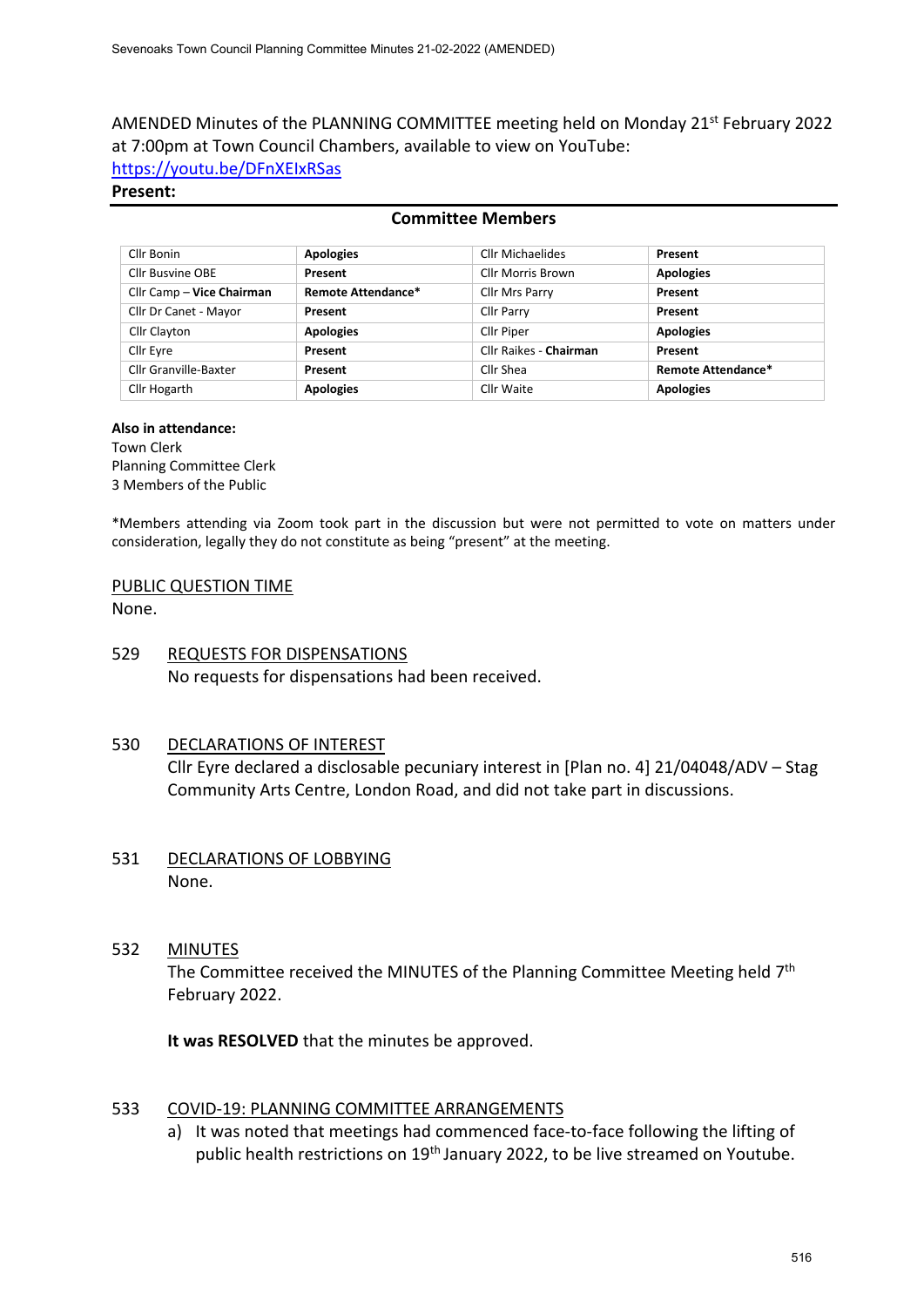AMENDED Minutes of the PLANNING COMMITTEE meeting held on Monday 21st February 2022 at 7:00pm at Town Council Chambers, available to view on YouTube: <https://youtu.be/DFnXEIxRSas>

### **Present:**

### **Committee Members**

| Cllr Bonin                | <b>Apologies</b>          | Cllr Michaelides         | Present                   |
|---------------------------|---------------------------|--------------------------|---------------------------|
| <b>Cllr Busvine OBE</b>   | Present                   | <b>Cllr Morris Brown</b> | <b>Apologies</b>          |
| Cllr Camp - Vice Chairman | <b>Remote Attendance*</b> | Cllr Mrs Parry           | Present                   |
| Cllr Dr Canet - Mayor     | Present                   | Cllr Parry               | Present                   |
| Cllr Clayton              | <b>Apologies</b>          | <b>Cllr Piper</b>        | <b>Apologies</b>          |
| Cllr Eyre                 | Present                   | Cllr Raikes - Chairman   | Present                   |
| Cllr Granville-Baxter     | Present                   | Cllr Shea                | <b>Remote Attendance*</b> |
| Cllr Hogarth              | <b>Apologies</b>          | Cllr Waite               | <b>Apologies</b>          |

### **Also in attendance:**

Town Clerk Planning Committee Clerk 3 Members of the Public

\*Members attending via Zoom took part in the discussion but were not permitted to vote on matters under consideration, legally they do not constitute as being "present" at the meeting.

### PUBLIC QUESTION TIME

None.

529 REQUESTS FOR DISPENSATIONS No requests for dispensations had been received.

### 530 DECLARATIONS OF INTEREST

Cllr Eyre declared a disclosable pecuniary interest in [Plan no. 4] 21/04048/ADV – Stag Community Arts Centre, London Road, and did not take part in discussions.

### 531 DECLARATIONS OF LOBBYING None.

532 MINUTES

The Committee received the MINUTES of the Planning Committee Meeting held  $7<sup>th</sup>$ February 2022.

**It was RESOLVED** that the minutes be approved.

### 533 COVID-19: PLANNING COMMITTEE ARRANGEMENTS

a) It was noted that meetings had commenced face-to-face following the lifting of public health restrictions on 19<sup>th</sup> January 2022, to be live streamed on Youtube.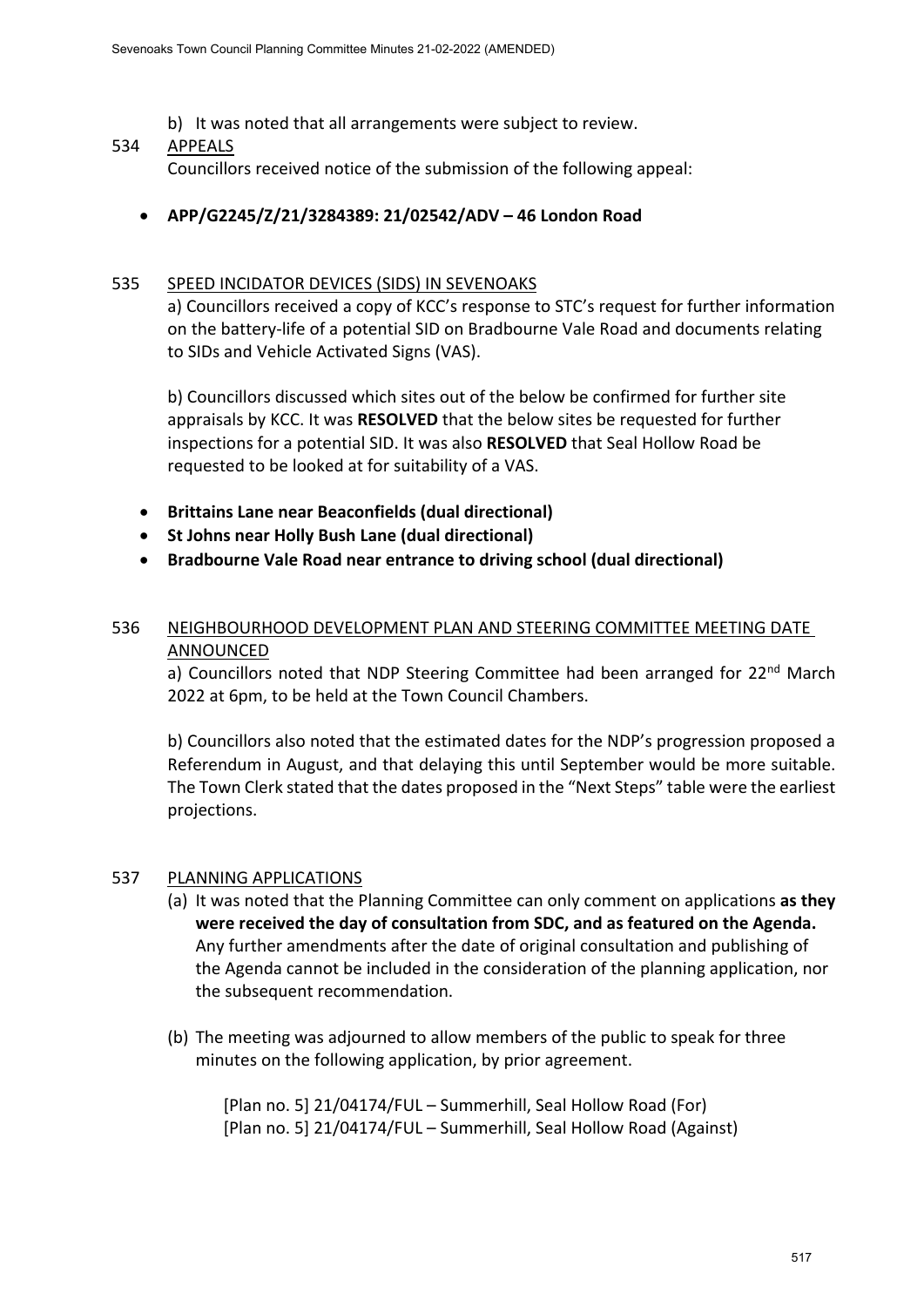b) It was noted that all arrangements were subject to review.

### 534 APPEALS

Councillors received notice of the submission of the following appeal:

• **APP/G2245/Z/21/3284389: 21/02542/ADV – 46 London Road**

### 535 SPEED INCIDATOR DEVICES (SIDS) IN SEVENOAKS

a) Councillors received a copy of KCC's response to STC's request for further information on the battery-life of a potential SID on Bradbourne Vale Road and documents relating to SIDs and Vehicle Activated Signs (VAS).

b) Councillors discussed which sites out of the below be confirmed for further site appraisals by KCC. It was **RESOLVED** that the below sites be requested for further inspections for a potential SID. It was also **RESOLVED** that Seal Hollow Road be requested to be looked at for suitability of a VAS.

- **Brittains Lane near Beaconfields (dual directional)**
- **St Johns near Holly Bush Lane (dual directional)**
- **Bradbourne Vale Road near entrance to driving school (dual directional)**

### 536 NEIGHBOURHOOD DEVELOPMENT PLAN AND STEERING COMMITTEE MEETING DATE ANNOUNCED

a) Councillors noted that NDP Steering Committee had been arranged for 22<sup>nd</sup> March 2022 at 6pm, to be held at the Town Council Chambers.

b) Councillors also noted that the estimated dates for the NDP's progression proposed a Referendum in August, and that delaying this until September would be more suitable. The Town Clerk stated that the dates proposed in the "Next Steps" table were the earliest projections.

### 537 PLANNING APPLICATIONS

- (a) It was noted that the Planning Committee can only comment on applications **as they were received the day of consultation from SDC, and as featured on the Agenda.**  Any further amendments after the date of original consultation and publishing of the Agenda cannot be included in the consideration of the planning application, nor the subsequent recommendation.
- (b) The meeting was adjourned to allow members of the public to speak for three minutes on the following application, by prior agreement.

[Plan no. 5] 21/04174/FUL – Summerhill, Seal Hollow Road (For) [Plan no. 5] 21/04174/FUL – Summerhill, Seal Hollow Road (Against)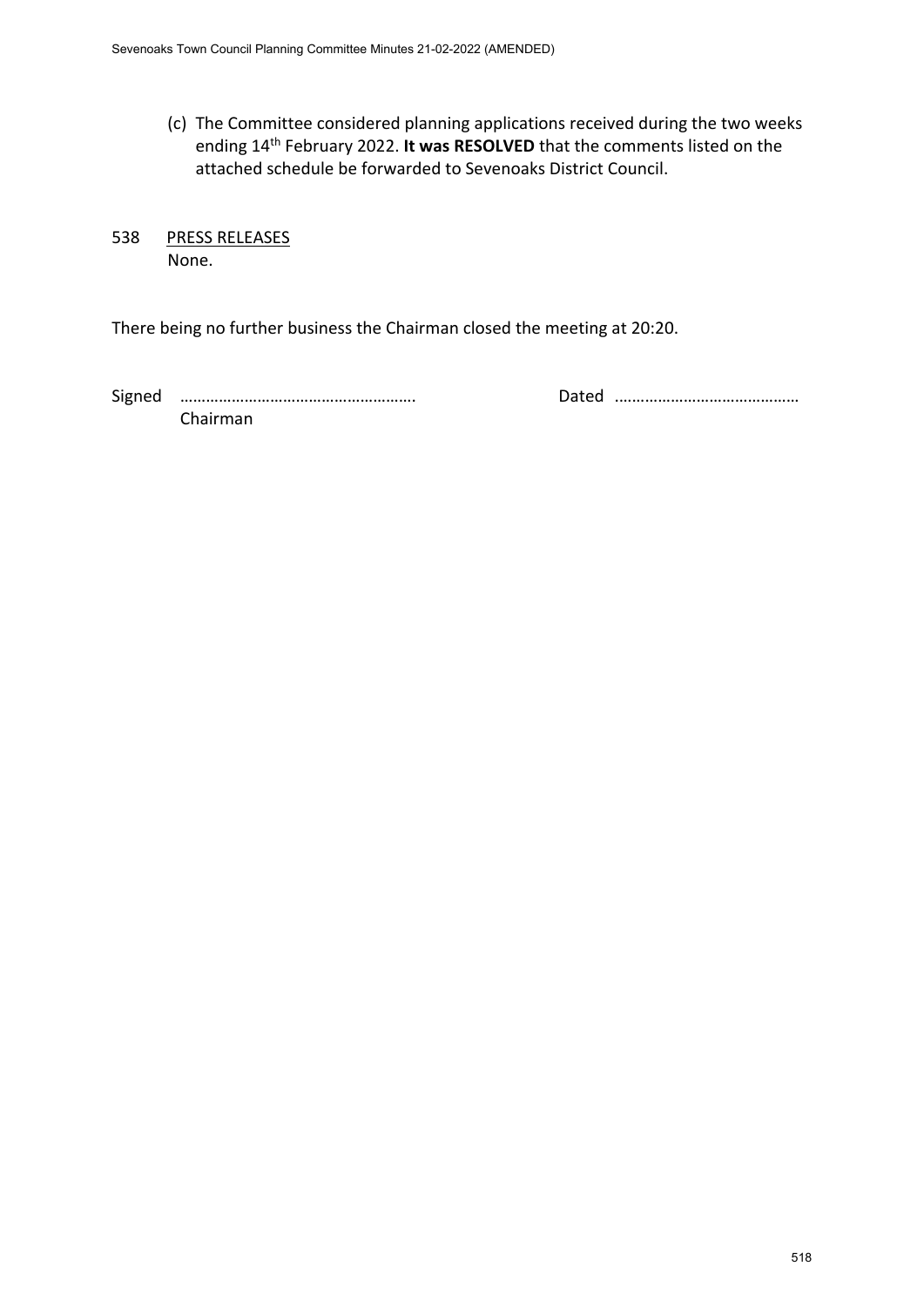(c) The Committee considered planning applications received during the two weeks ending 14th February 2022. **It was RESOLVED** that the comments listed on the attached schedule be forwarded to Sevenoaks District Council.

538 PRESS RELEASES None.

There being no further business the Chairman closed the meeting at 20:20.

Signed ………………………………………………. Dated .…………………………………… Chairman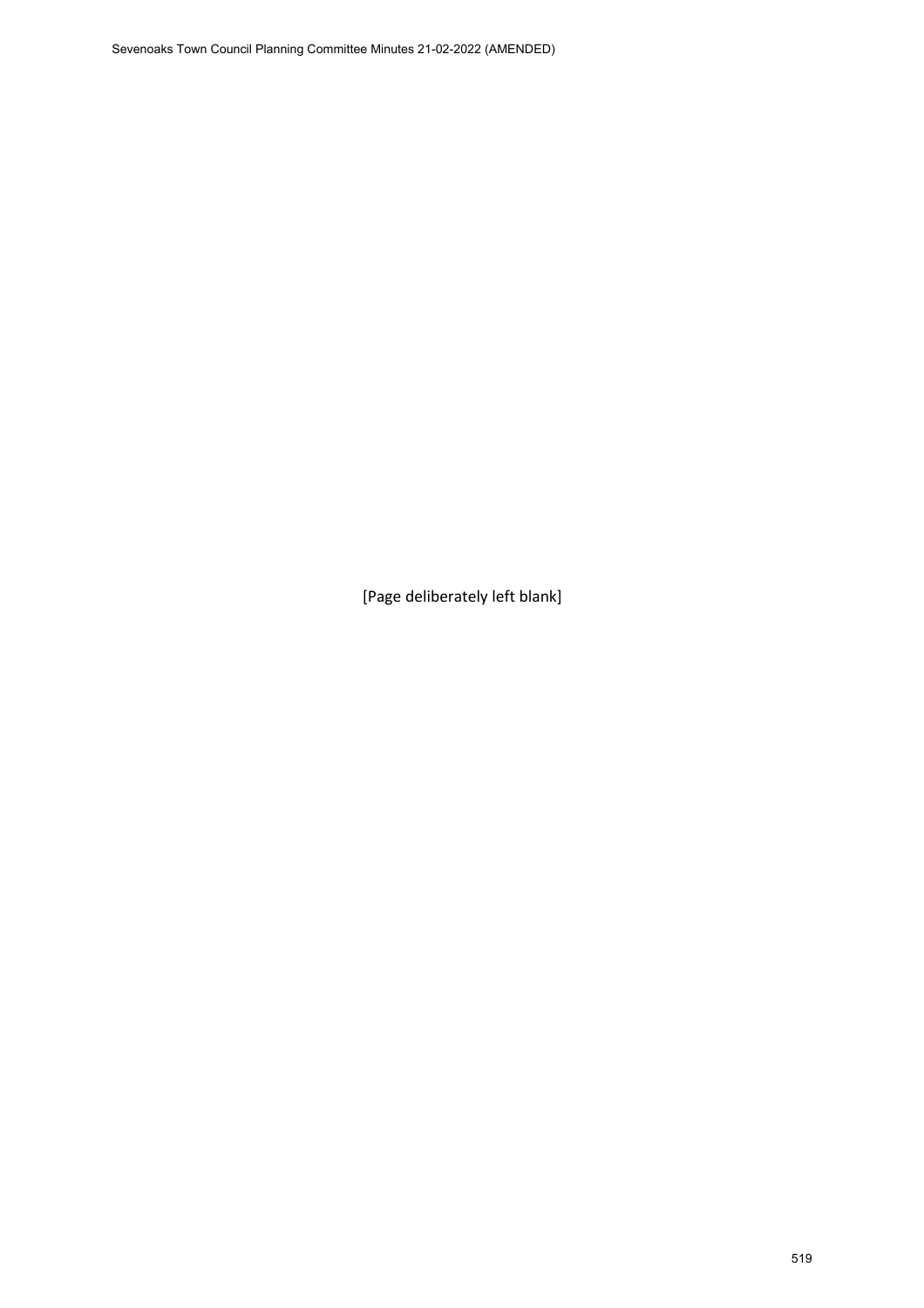[Page deliberately left blank]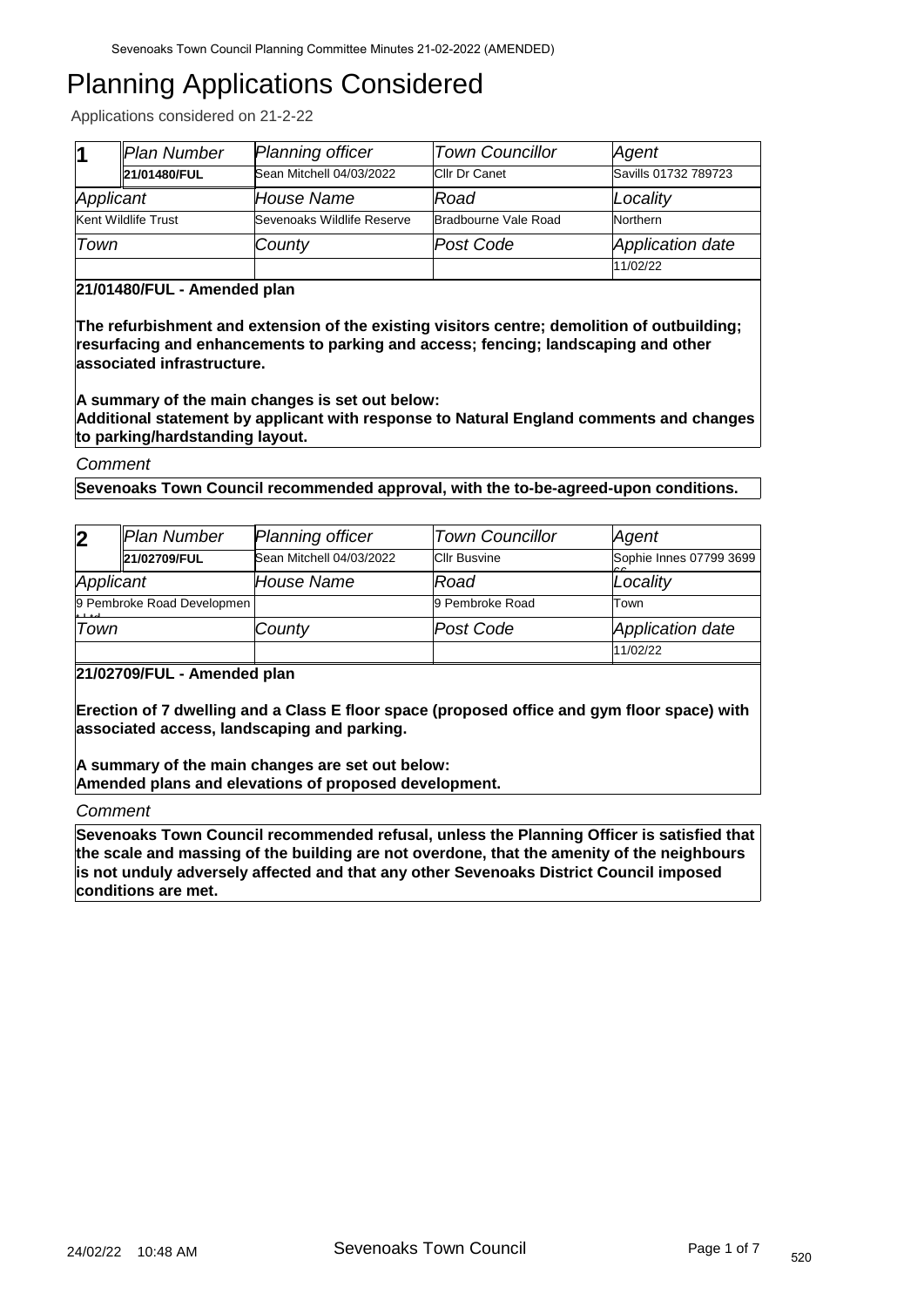Applications considered on 21-2-22

| 11        | Plan Number         | Planning officer           | <b>Town Councillor</b> | Agent                |
|-----------|---------------------|----------------------------|------------------------|----------------------|
|           | 21/01480/FUL        | Sean Mitchell 04/03/2022   | Cllr Dr Canet          | Savills 01732 789723 |
| Applicant |                     | <i>House Name</i>          | Road                   | Locality             |
|           | Kent Wildlife Trust | Sevenoaks Wildlife Reserve | Bradbourne Vale Road   | Northern             |
| Town      |                     | County                     | Post Code              | Application date     |
|           |                     |                            |                        | 11/02/22             |

### **21/01480/FUL - Amended plan**

**The refurbishment and extension of the existing visitors centre; demolition of outbuilding; resurfacing and enhancements to parking and access; fencing; landscaping and other associated infrastructure.**

**A summary of the main changes is set out below:** 

**Additional statement by applicant with response to Natural England comments and changes to parking/hardstanding layout.**

*Comment*

**Sevenoaks Town Council recommended approval, with the to-be-agreed-upon conditions.**

| $\overline{\mathbf{2}}$ | Plan Number                | Planning officer         | <b>Town Councillor</b> | Agent                   |
|-------------------------|----------------------------|--------------------------|------------------------|-------------------------|
|                         | 21/02709/FUL               | Sean Mitchell 04/03/2022 | <b>Cllr Busvine</b>    | Sophie Innes 07799 3699 |
| Applicant               |                            | <b>House Name</b>        | Road                   | Locality                |
|                         | 9 Pembroke Road Developmen |                          | 9 Pembroke Road        | Town                    |
| Town                    |                            | County                   | Post Code              | Application date        |
|                         |                            |                          |                        | 11/02/22                |

**21/02709/FUL - Amended plan**

**Erection of 7 dwelling and a Class E floor space (proposed office and gym floor space) with associated access, landscaping and parking.**

**A summary of the main changes are set out below: Amended plans and elevations of proposed development.**

*Comment*

**Sevenoaks Town Council recommended refusal, unless the Planning Officer is satisfied that the scale and massing of the building are not overdone, that the amenity of the neighbours is not unduly adversely affected and that any other Sevenoaks District Council imposed conditions are met.**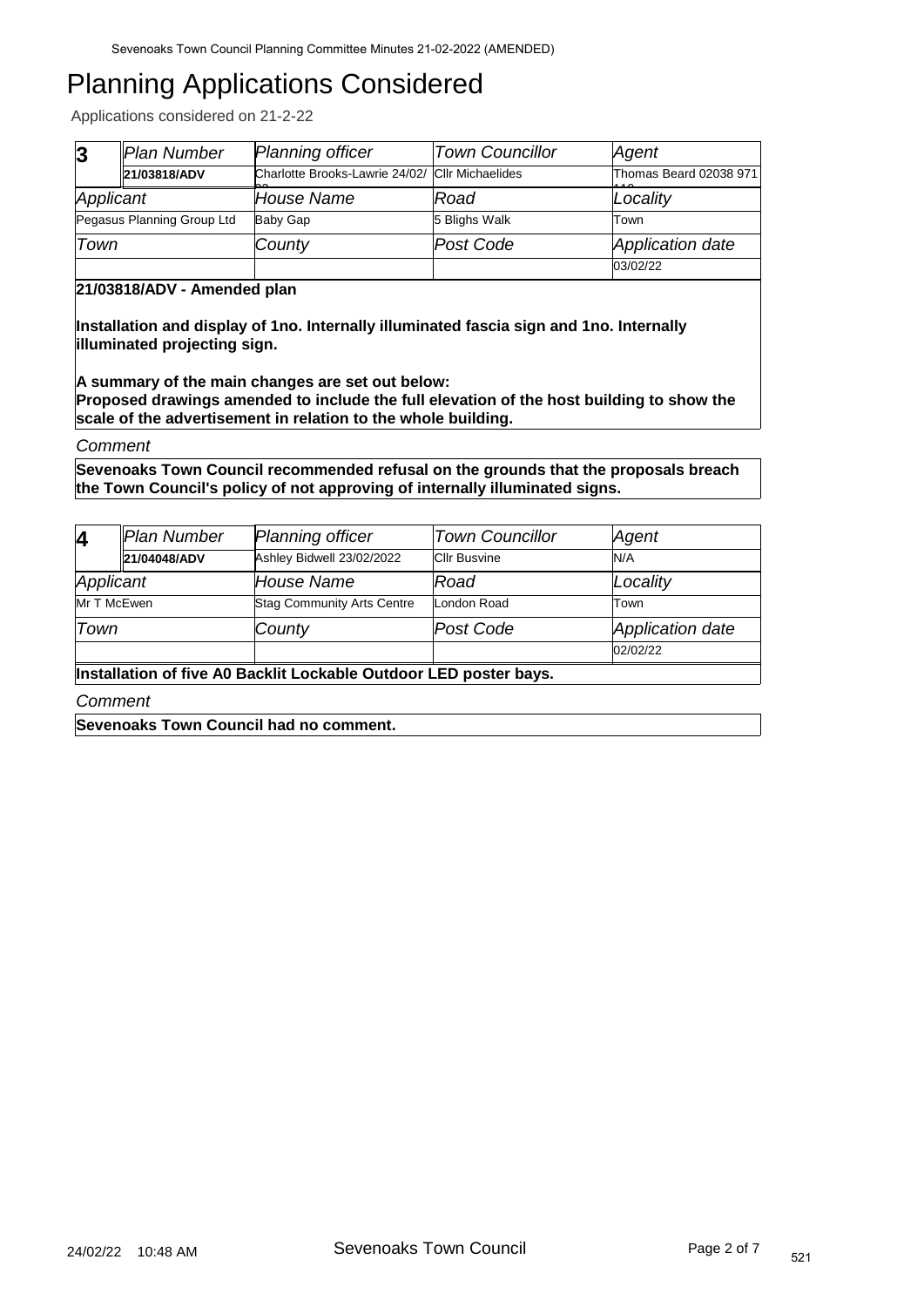Applications considered on 21-2-22

| 3         | Plan Number                | Planning officer                                | <b>Town Councillor</b> | Agent                  |
|-----------|----------------------------|-------------------------------------------------|------------------------|------------------------|
|           | 21/03818/ADV               | Charlotte Brooks-Lawrie 24/02/ Cllr Michaelides |                        | Thomas Beard 02038 971 |
| Applicant |                            | House Name                                      | Road                   | Locality               |
|           | Pegasus Planning Group Ltd | Baby Gap                                        | 5 Blighs Walk          | Town                   |
| Town      |                            | County                                          | Post Code              | Application date       |
|           |                            |                                                 |                        | 03/02/22               |

### **21/03818/ADV - Amended plan**

**Installation and display of 1no. Internally illuminated fascia sign and 1no. Internally illuminated projecting sign.**

**A summary of the main changes are set out below: Proposed drawings amended to include the full elevation of the host building to show the scale of the advertisement in relation to the whole building.**

*Comment*

**Sevenoaks Town Council recommended refusal on the grounds that the proposals breach the Town Council's policy of not approving of internally illuminated signs.**

| $\overline{\mathbf{4}}$ | Plan Number  | Planning officer                                                 | <b>Town Councillor</b> | Agent            |
|-------------------------|--------------|------------------------------------------------------------------|------------------------|------------------|
|                         | 21/04048/ADV | Ashley Bidwell 23/02/2022                                        | <b>Cllr Busvine</b>    | N/A              |
| Applicant               |              | House Name                                                       | Road                   | Locality         |
| Mr T McEwen             |              | <b>Stag Community Arts Centre</b>                                | London Road            | Town             |
| Town                    |              | County                                                           | Post Code              | Application date |
|                         |              |                                                                  |                        | 02/02/22         |
|                         |              | Inctallation of five AB Roaklit Lookable Qutdoor LED noctor hove |                        |                  |

**Installation of five A0 Backlit Lockable Outdoor LED poster bays.**

*Comment*

**Sevenoaks Town Council had no comment.**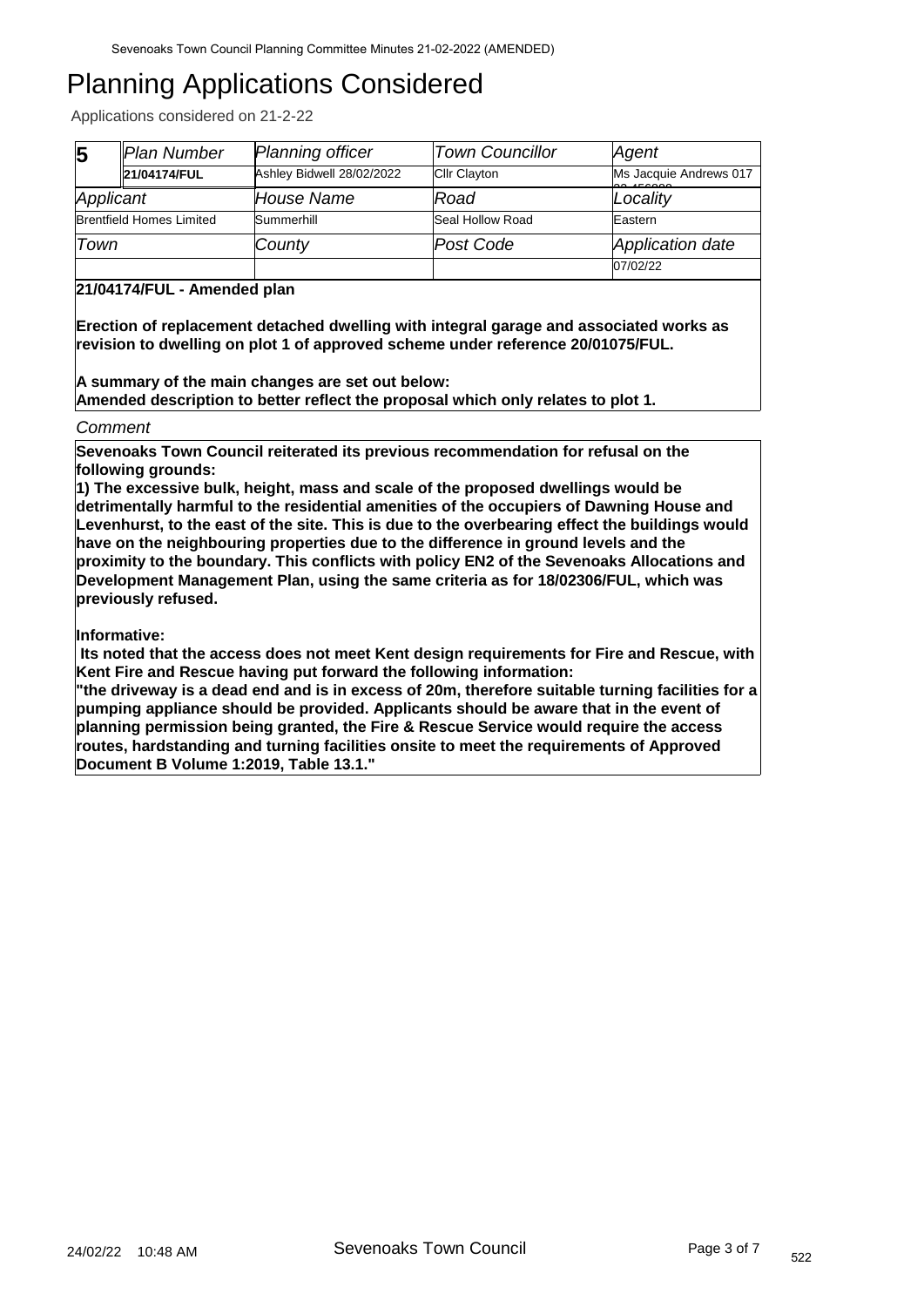Applications considered on 21-2-22

| 5         | Plan Number                     | <b>Planning officer</b>   | <b>Town Councillor</b> | Agent                             |
|-----------|---------------------------------|---------------------------|------------------------|-----------------------------------|
|           | 21/04174/FUL                    | Ashley Bidwell 28/02/2022 | <b>Cllr Clayton</b>    | Ms Jacquie Andrews 017<br>0015000 |
| Applicant |                                 | House Name                | Road                   | Locality                          |
|           | <b>Brentfield Homes Limited</b> | Summerhill                | Seal Hollow Road       | Eastern                           |
| Town      |                                 | County                    | Post Code              | Application date                  |
|           |                                 |                           |                        | 07/02/22                          |

### **21/04174/FUL - Amended plan**

**Erection of replacement detached dwelling with integral garage and associated works as revision to dwelling on plot 1 of approved scheme under reference 20/01075/FUL.** 

**A summary of the main changes are set out below: Amended description to better reflect the proposal which only relates to plot 1.**

### *Comment*

**Sevenoaks Town Council reiterated its previous recommendation for refusal on the following grounds:**

**1) The excessive bulk, height, mass and scale of the proposed dwellings would be detrimentally harmful to the residential amenities of the occupiers of Dawning House and Levenhurst, to the east of the site. This is due to the overbearing effect the buildings would have on the neighbouring properties due to the difference in ground levels and the proximity to the boundary. This conflicts with policy EN2 of the Sevenoaks Allocations and Development Management Plan, using the same criteria as for 18/02306/FUL, which was previously refused.**

**Informative:** 

 **Its noted that the access does not meet Kent design requirements for Fire and Rescue, with Kent Fire and Rescue having put forward the following information:**

**"the driveway is a dead end and is in excess of 20m, therefore suitable turning facilities for a pumping appliance should be provided. Applicants should be aware that in the event of planning permission being granted, the Fire & Rescue Service would require the access routes, hardstanding and turning facilities onsite to meet the requirements of Approved Document B Volume 1:2019, Table 13.1."**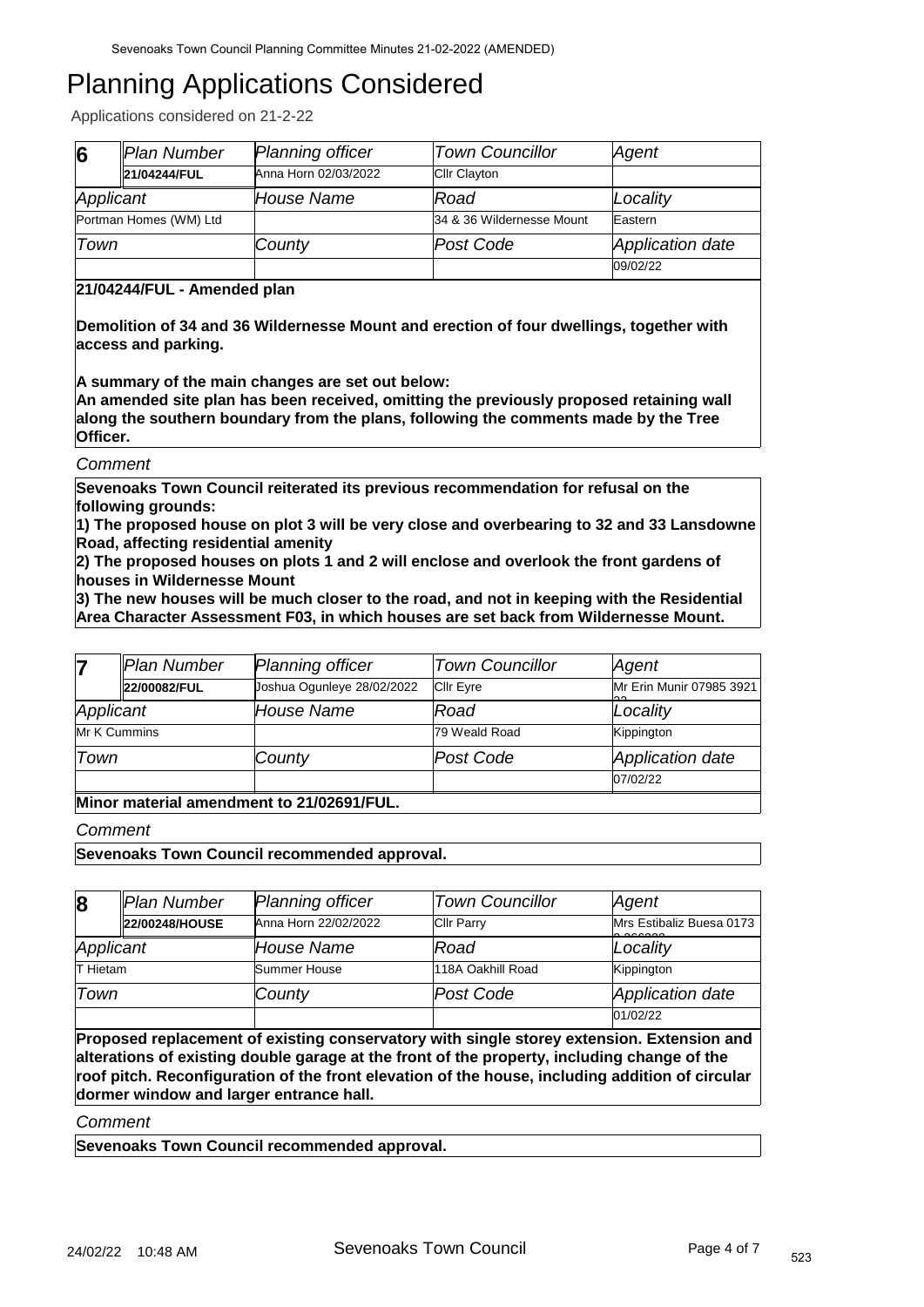Applications considered on 21-2-22

| 6         | Plan Number            | <b>Planning officer</b> | <b>Town Councillor</b>    | Agent            |
|-----------|------------------------|-------------------------|---------------------------|------------------|
|           | 21/04244/FUL           | Anna Horn 02/03/2022    | Cllr Clayton              |                  |
| Applicant |                        | House Name              | Road                      | Locality         |
|           | Portman Homes (WM) Ltd |                         | 34 & 36 Wildernesse Mount | Eastern          |
| Town      |                        | County                  | Post Code                 | Application date |
|           |                        |                         |                           | 09/02/22         |

### **21/04244/FUL - Amended plan**

**Demolition of 34 and 36 Wildernesse Mount and erection of four dwellings, together with access and parking.**

**A summary of the main changes are set out below:** 

**An amended site plan has been received, omitting the previously proposed retaining wall along the southern boundary from the plans, following the comments made by the Tree Officer.**

*Comment*

**Sevenoaks Town Council reiterated its previous recommendation for refusal on the following grounds:**

**1) The proposed house on plot 3 will be very close and overbearing to 32 and 33 Lansdowne Road, affecting residential amenity**

**2) The proposed houses on plots 1 and 2 will enclose and overlook the front gardens of houses in Wildernesse Mount**

**3) The new houses will be much closer to the road, and not in keeping with the Residential Area Character Assessment F03, in which houses are set back from Wildernesse Mount.**

|                     | Plan Number  | Planning officer           | <b>Town Councillor</b> | Agent                    |
|---------------------|--------------|----------------------------|------------------------|--------------------------|
|                     | 22/00082/FUL | Joshua Ogunleye 28/02/2022 | <b>Cllr Eyre</b>       | Mr Erin Munir 07985 3921 |
| Applicant           |              | House Name                 | Road                   | Locality                 |
| <b>Mr K Cummins</b> |              |                            | 79 Weald Road          | Kippington               |
| Town                |              | County                     | Post Code              | Application date         |
|                     |              |                            |                        | 07/02/22                 |

**Minor material amendment to 21/02691/FUL.**

*Comment*

**Sevenoaks Town Council recommended approval.**

| Plan Number    | Planning officer     | <b>Town Councillor</b> | Agent                                 |
|----------------|----------------------|------------------------|---------------------------------------|
| 22/00248/HOUSE | Anna Horn 22/02/2022 | <b>Cllr Parry</b>      | Mrs Estibaliz Buesa 0173<br>lo ocococ |
| Applicant      | House Name           | Road                   | Locality                              |
| T Hietam       | <b>Summer House</b>  | 118A Oakhill Road      | Kippington                            |
| Town           | County               | Post Code              | Application date                      |
|                |                      |                        | 01/02/22                              |
|                |                      |                        |                                       |

**Proposed replacement of existing conservatory with single storey extension. Extension and alterations of existing double garage at the front of the property, including change of the roof pitch. Reconfiguration of the front elevation of the house, including addition of circular dormer window and larger entrance hall.**

*Comment*

**Sevenoaks Town Council recommended approval.**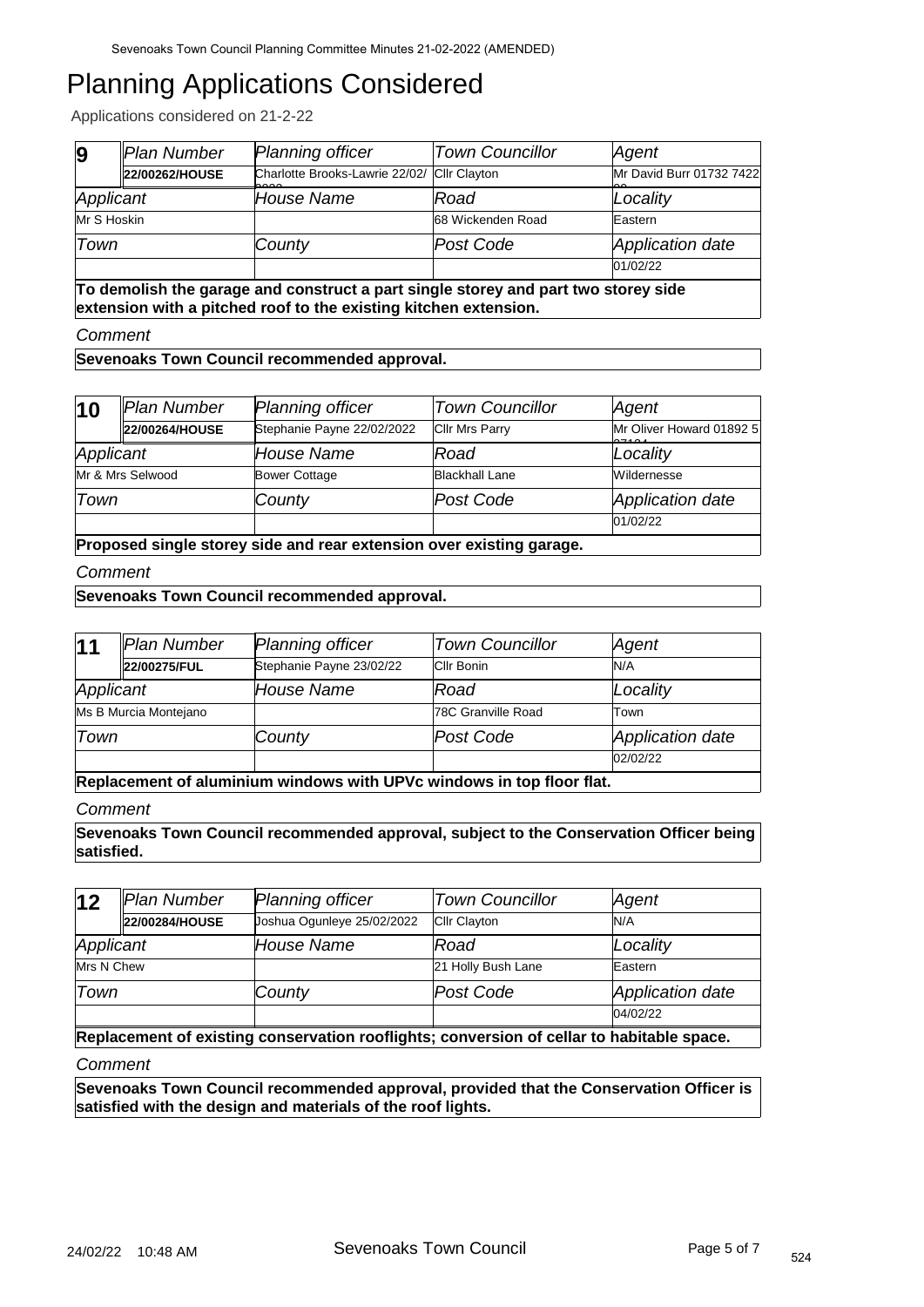Applications considered on 21-2-22

| 9           | Plan Number    | Planning officer                                           | <b>Town Councillor</b> | Agent                    |
|-------------|----------------|------------------------------------------------------------|------------------------|--------------------------|
|             | 22/00262/HOUSE | Charlotte Brooks-Lawrie 22/02/ Cllr Clayton<br><b>DOOD</b> |                        | Mr David Burr 01732 7422 |
| Applicant   |                | House Name                                                 | Road                   | Locality                 |
| Mr S Hoskin |                |                                                            | 68 Wickenden Road      | Eastern                  |
| Town        |                | County                                                     | Post Code              | Application date         |
|             |                |                                                            |                        | 01/02/22                 |

**To demolish the garage and construct a part single storey and part two storey side extension with a pitched roof to the existing kitchen extension.**

*Comment*

**Sevenoaks Town Council recommended approval.**

| $\vert$ 10 | Plan Number      | <b>Planning officer</b>                                             | <b>Town Councillor</b> | Agent                              |
|------------|------------------|---------------------------------------------------------------------|------------------------|------------------------------------|
|            | 22/00264/HOUSE   | Stephanie Payne 22/02/2022                                          | <b>Clir Mrs Parry</b>  | Mr Oliver Howard 01892 5<br>$\sim$ |
| Applicant  |                  | House Name                                                          | Road                   | Locality                           |
|            | Mr & Mrs Selwood | <b>Bower Cottage</b>                                                | <b>Blackhall Lane</b>  | Wildernesse                        |
| Town       |                  | County                                                              | Post Code              | Application date                   |
|            |                  |                                                                     |                        | 01/02/22                           |
|            |                  | Pronosed single storey side and rear extension over existing garage |                        |                                    |

**Proposed single storey** 

### *Comment*

**Sevenoaks Town Council recommended approval.**

| 11        | Plan Number           | Planning officer         | <b>Town Councillor</b> | Agent            |
|-----------|-----------------------|--------------------------|------------------------|------------------|
|           | 22/00275/FUL          | Stephanie Payne 23/02/22 | <b>Cllr Bonin</b>      | N/A              |
| Applicant |                       | House Name               | Road                   | Locality         |
|           | Ms B Murcia Montejano |                          | 78C Granville Road     | Town             |
| Town      |                       | County                   | Post Code              | Application date |
|           |                       |                          |                        | 02/02/22         |

**Replacement of aluminium windows with UPVc windows in top floor flat.**

### *Comment*

**Sevenoaks Town Council recommended approval, subject to the Conservation Officer being satisfied.**

| 12         | Plan Number    | Planning officer           | <b>Town Councillor</b> | Agent            |
|------------|----------------|----------------------------|------------------------|------------------|
|            | 22/00284/HOUSE | Joshua Ogunleye 25/02/2022 | Cllr Clayton           | N/A              |
| Applicant  |                | <b>House Name</b>          | Road                   | Locality         |
| Mrs N Chew |                |                            | 21 Holly Bush Lane     | Eastern          |
| Town       |                | County                     | Post Code              | Application date |
|            |                |                            |                        | 04/02/22         |

### **Replacement of existing conservation rooflights; conversion of cellar to habitable space.**

*Comment*

**Sevenoaks Town Council recommended approval, provided that the Conservation Officer is satisfied with the design and materials of the roof lights.**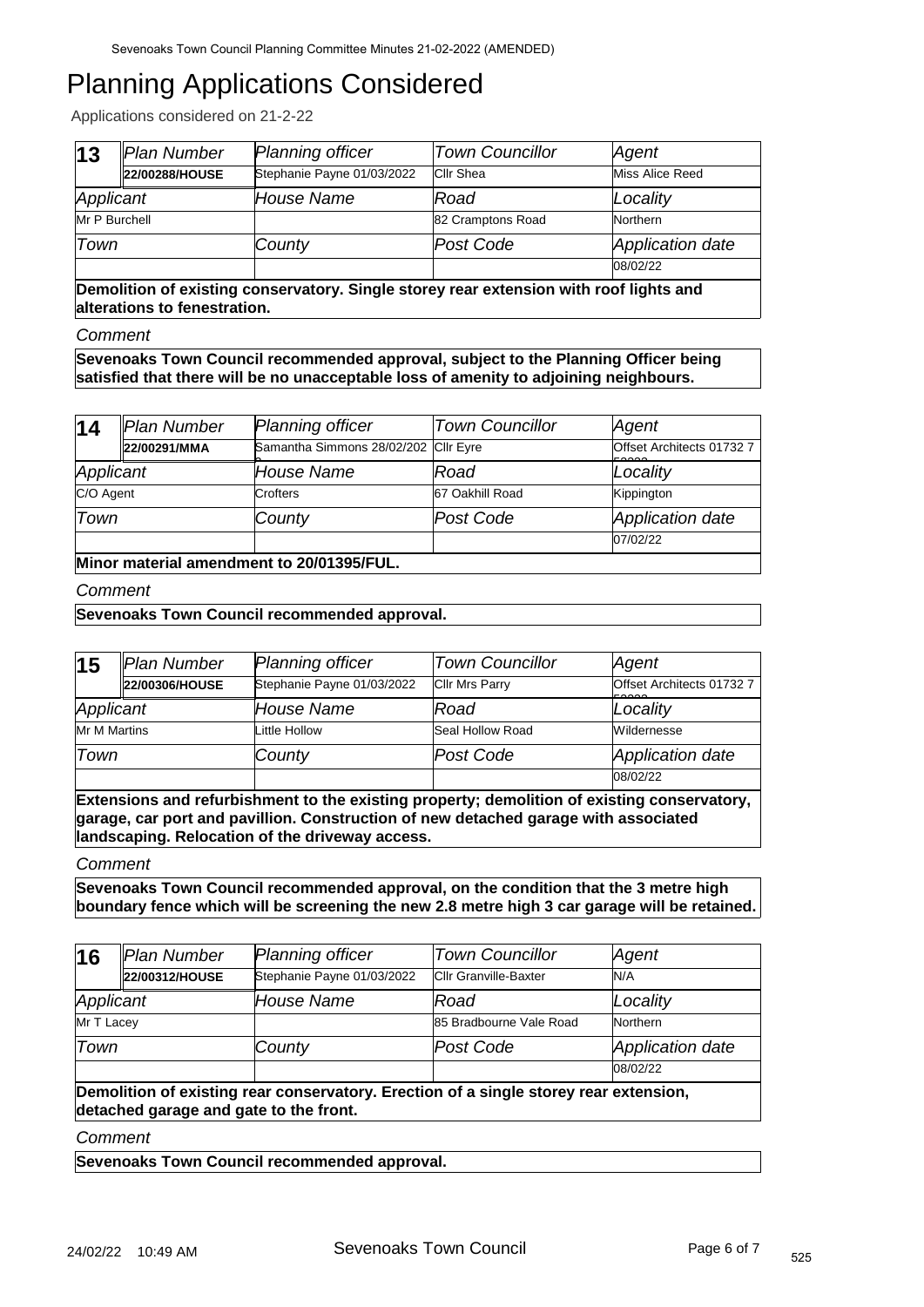Applications considered on 21-2-22

| $\vert$ 13    | <b>Plan Number</b> | Planning officer           | <b>Town Councillor</b> | Agent            |
|---------------|--------------------|----------------------------|------------------------|------------------|
|               | 22/00288/HOUSE     | Stephanie Payne 01/03/2022 | <b>Cllr Shea</b>       | Miss Alice Reed  |
| Applicant     |                    | House Name                 | Road                   | Locality         |
| Mr P Burchell |                    |                            | 82 Cramptons Road      | Northern         |
| Town          |                    | County                     | Post Code              | Application date |
|               |                    |                            |                        | 08/02/22         |

**Demolition of existing conservatory. Single storey rear extension with roof lights and alterations to fenestration.**

#### *Comment*

**Sevenoaks Town Council recommended approval, subject to the Planning Officer being satisfied that there will be no unacceptable loss of amenity to adjoining neighbours.**

| 14        | Plan Number  | Planning officer                     | <b>Town Councillor</b> | Agent                              |
|-----------|--------------|--------------------------------------|------------------------|------------------------------------|
|           | 22/00291/MMA | Samantha Simmons 28/02/202 Cllr Eyre |                        | Offset Architects 01732 7<br>rooco |
| Applicant |              | House Name                           | Road                   | Locality                           |
| C/O Agent |              | Crofters                             | 67 Oakhill Road        | Kippington                         |
| Town      |              | County                               | Post Code              | Application date                   |
|           |              |                                      |                        | 07/02/22                           |

### **Minor material amendment to 20/01395/FUL.**

### *Comment*

### **Sevenoaks Town Council recommended approval.**

| 15                  | Plan Number    | Planning officer           | <b>Town Councillor</b> | Agent                              |
|---------------------|----------------|----------------------------|------------------------|------------------------------------|
|                     | 22/00306/HOUSE | Stephanie Payne 01/03/2022 | <b>Cllr Mrs Parry</b>  | Offset Architects 01732 7<br>F0000 |
| Applicant           |                | <b>House Name</b>          | Road                   | Locality                           |
| <b>Mr M Martins</b> |                | Little Hollow              | Seal Hollow Road       | Wildernesse                        |
| Town                |                | County                     | Post Code              | Application date                   |
|                     |                |                            |                        | 08/02/22                           |

**Extensions and refurbishment to the existing property; demolition of existing conservatory, garage, car port and pavillion. Construction of new detached garage with associated landscaping. Relocation of the driveway access.**

### *Comment*

**Sevenoaks Town Council recommended approval, on the condition that the 3 metre high boundary fence which will be screening the new 2.8 metre high 3 car garage will be retained.**

| 16                                                                                                                              | Plan Number    | <b>Planning officer</b>    | <b>Town Councillor</b>       | Agent                   |  |
|---------------------------------------------------------------------------------------------------------------------------------|----------------|----------------------------|------------------------------|-------------------------|--|
|                                                                                                                                 | 22/00312/HOUSE | Stephanie Payne 01/03/2022 | <b>Cllr Granville-Baxter</b> | N/A                     |  |
| Applicant                                                                                                                       |                | House Name                 | Road                         | Locality                |  |
| Mr T Lacey                                                                                                                      |                |                            | 85 Bradbourne Vale Road      | Northern                |  |
| Town                                                                                                                            |                | County                     | Post Code                    | <b>Application date</b> |  |
|                                                                                                                                 |                |                            |                              | 08/02/22                |  |
| Demolition of existing rear conservatory. Erection of a single storey rear extension,<br>detached garage and gate to the front. |                |                            |                              |                         |  |
|                                                                                                                                 |                |                            |                              |                         |  |

#### *Comment*

**Sevenoaks Town Council recommended approval.**